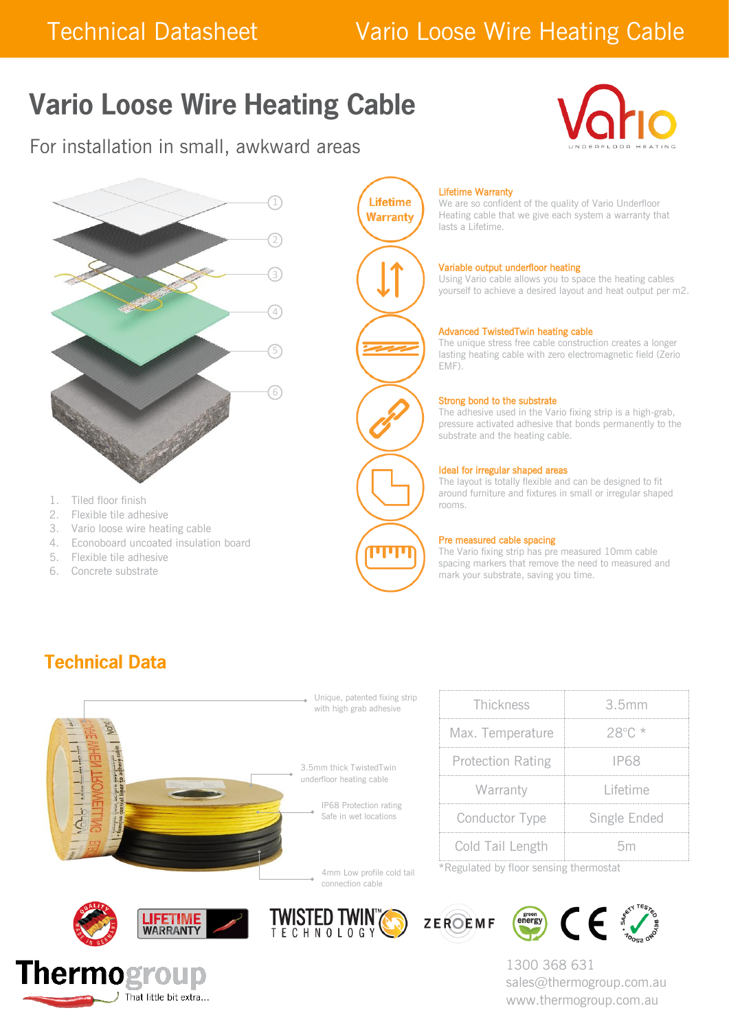## Technical Datasheet Vario Loose Wire Heating Cable

# **Vario Loose Wire Heating Cable**

For installation in small, awkward areas





- 1. Tiled floor finish
- 2. Flexible tile adhesive
- 3. Vario loose wire heating cable
- 4. Econoboard uncoated insulation board
- 5. Flexible tile adhesive
- 6. Concrete substrate



#### Lifetime Warranty

We are so confident of the quality of Vario Underfloor Heating cable that we give each system a warranty that lasts a Lifetime.

#### Variable output underfloor heating

Using Vario cable allows you to space the heating cables yourself to achieve a desired layout and heat output per m2.

#### Advanced TwistedTwin heating cable

The unique stress free cable construction creates a longer lasting heating cable with zero electromagnetic field (Zerio EMF).

#### Strong bond to the substrate

The adhesive used in the Vario fixing strip is a high-grab, pressure activated adhesive that bonds permanently to the substrate and the heating cable.

#### Ideal for irregular shaped areas

The layout is totally flexible and can be designed to fit around furniture and fixtures in small or irregular shaped rooms.

#### Pre measured cable spacing

The Vario fixing strip has pre measured 10mm cable spacing markers that remove the need to measured and mark your substrate, saving you time.

### **Technical Data**



| Thickness                | 3.5mm           |  |
|--------------------------|-----------------|--|
| Max. Temperature         | 28°C. *         |  |
| <b>Protection Rating</b> | P6X             |  |
| Warranty                 | <u>Lifetime</u> |  |
| Conductor Type           | Single Ended    |  |
| Cold Tail Length         | hm              |  |

\*Regulated by floor sensing thermostat







connection cable





1300 368 631 sales@thermogroup.com.au www.thermogroup.com.au